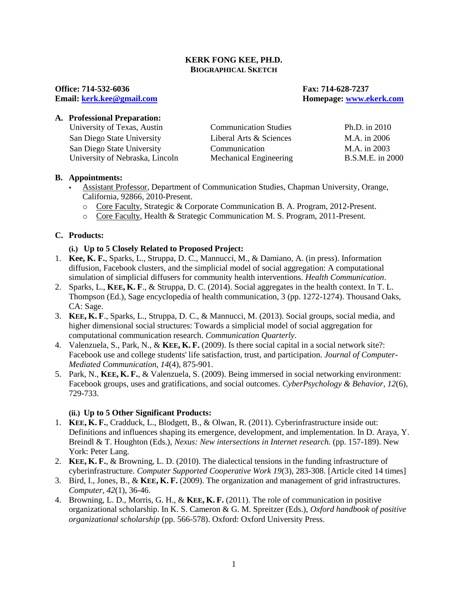### **KERK FONG KEE, PH.D. BIOGRAPHICAL SKETCH**

**Office: 714-532-6036 Fax: 714-628-7237**

**Email: [kerk.kee@gmail.](mailto:kerk.kee@gmail)com Homepage: [www.ekerk.com](http://www.ekerk.com/)**

### **A. Professional Preparation:**

| University of Texas, Austin     | <b>Communication Studies</b> | Ph.D. in 2010    |
|---------------------------------|------------------------------|------------------|
| San Diego State University      | Liberal Arts & Sciences      | M.A. in 2006     |
| San Diego State University      | Communication                | M.A. in 2003     |
| University of Nebraska, Lincoln | Mechanical Engineering       | B.S.M.E. in 2000 |

#### **B. Appointments:**

- Assistant Professor, Department of Communication Studies, Chapman University, Orange, California, 92866, 2010-Present.
	- o Core Faculty, Strategic & Corporate Communication B. A. Program, 2012-Present.
	- o Core Faculty, Health & Strategic Communication M. S. Program, 2011-Present.

### **C. Products:**

- **(i.) Up to 5 Closely Related to Proposed Project:**
- 1. **Kee, K. F.**, Sparks, L., Struppa, D. C., Mannucci, M., & Damiano, A. (in press). Information diffusion, Facebook clusters, and the simplicial model of social aggregation: A computational simulation of simplicial diffusers for community health interventions. *Health Communication*.
- 2. Sparks, L., **KEE, K. F**., & Struppa, D. C. (2014). Social aggregates in the health context. In T. L. Thompson (Ed.), Sage encyclopedia of health communication, 3 (pp. 1272-1274). Thousand Oaks, CA: Sage.
- 3. **KEE, K. F**., Sparks, L., Struppa, D. C., & Mannucci, M. (2013). Social groups, social media, and higher dimensional social structures: Towards a simplicial model of social aggregation for computational communication research. *Communication Quarterly*.
- 4. Valenzuela, S., Park, N., & **KEE, K. F.** (2009). Is there social capital in a social network site?: Facebook use and college students' life satisfaction, trust, and participation. *Journal of Computer-Mediated Communication, 14*(4), 875-901.
- 5. Park, N., **KEE, K. F.**, & Valenzuela, S. (2009). Being immersed in social networking environment: Facebook groups, uses and gratifications, and social outcomes. *CyberPsychology & Behavior, 12*(6), 729-733.

### **(ii.) Up to 5 Other Significant Products:**

- 1. **KEE, K. F.**, Cradduck, L., Blodgett, B., & Olwan, R. (2011). Cyberinfrastructure inside out: Definitions and influences shaping its emergence, development, and implementation. In D. Araya, Y. Breindl & T. Houghton (Eds.), *Nexus: New intersections in Internet research.* (pp. 157-189). New York: Peter Lang.
- 2. **KEE, K. F.**, & Browning, L. D. (2010). The dialectical tensions in the funding infrastructure of cyberinfrastructure. *Computer Supported Cooperative Work 19*(3), 283-308. [Article cited 14 times]
- 3. Bird, I., Jones, B., & **KEE, K. F.** (2009). The organization and management of grid infrastructures. *Computer, 42*(1), 36-46.
- 4. Browning, L. D., Morris, G. H., & **KEE, K. F.** (2011). The role of communication in positive organizational scholarship. In K. S. Cameron & G. M. Spreitzer (Eds.), *Oxford handbook of positive organizational scholarship* (pp. 566-578). Oxford: Oxford University Press.